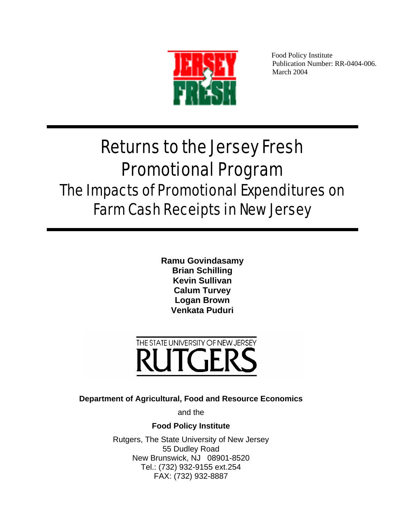

Food Policy Institute Publication Number: RR-0404-006. March 2004

# Returns to the Jersey Fresh Promotional Program The Impacts of Promotional Expenditures on Farm Cash Receipts in New Jersey

**Ramu Govindasamy Brian Schilling Kevin Sullivan Calum Turvey Logan Brown Venkata Puduri**



**Department of Agricultural, Food and Resource Economics** 

and the

**Food Policy Institute** 

Rutgers, The State University of New Jersey 55 Dudley Road New Brunswick, NJ 08901-8520 Tel.: (732) 932-9155 ext.254 FAX: (732) 932-8887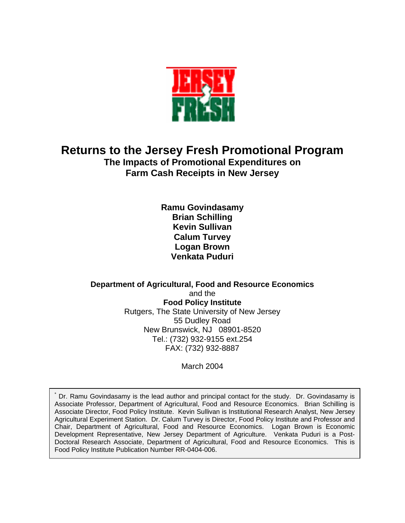

## **Returns to the Jersey Fresh Promotional Program The Impacts of Promotional Expenditures on Farm Cash Receipts in New Jersey**

**Ramu Govindasamy Brian Schilling Kevin Sullivan Calum Turvey Logan Brown Venkata Puduri** 

**Department of Agricultural, Food and Resource Economics**  and the **Food Policy Institute**  Rutgers, The State University of New Jersey 55 Dudley Road New Brunswick, NJ 08901-8520 Tel.: (732) 932-9155 ext.254 FAX: (732) 932-8887

March 2004

\* Dr. Ramu Govindasamy is the lead author and principal contact for the study. Dr. Govindasamy is Associate Professor, Department of Agricultural, Food and Resource Economics. Brian Schilling is Associate Director, Food Policy Institute. Kevin Sullivan is Institutional Research Analyst, New Jersey Agricultural Experiment Station. Dr. Calum Turvey is Director, Food Policy Institute and Professor and Chair, Department of Agricultural, Food and Resource Economics. Logan Brown is Economic Development Representative, New Jersey Department of Agriculture. Venkata Puduri is a Post-Doctoral Research Associate, Department of Agricultural, Food and Resource Economics. This is Food Policy Institute Publication Number RR-0404-006.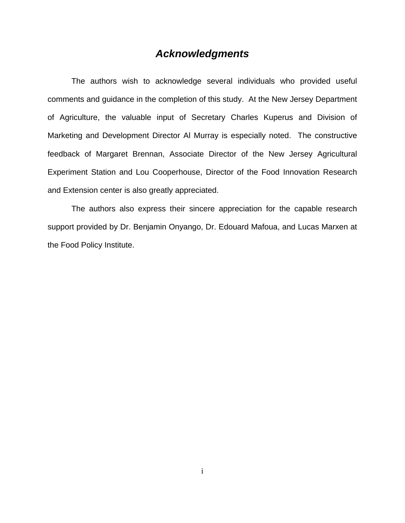## *Acknowledgments*

The authors wish to acknowledge several individuals who provided useful comments and guidance in the completion of this study. At the New Jersey Department of Agriculture, the valuable input of Secretary Charles Kuperus and Division of Marketing and Development Director Al Murray is especially noted. The constructive feedback of Margaret Brennan, Associate Director of the New Jersey Agricultural Experiment Station and Lou Cooperhouse, Director of the Food Innovation Research and Extension center is also greatly appreciated.

The authors also express their sincere appreciation for the capable research support provided by Dr. Benjamin Onyango, Dr. Edouard Mafoua, and Lucas Marxen at the Food Policy Institute.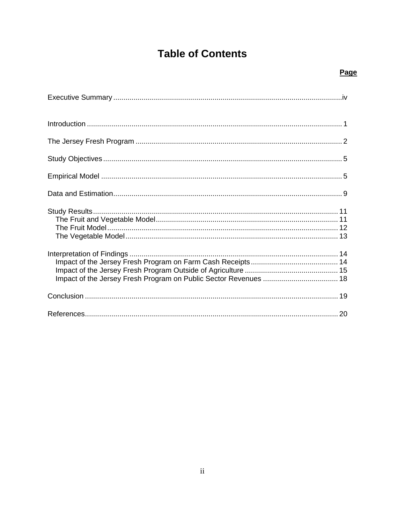# **Table of Contents**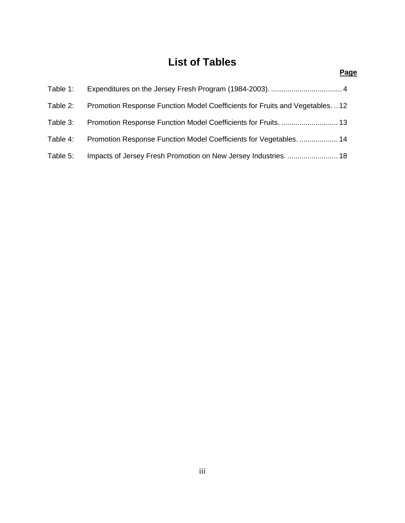## **List of Tables**

| Table 1: |                                                                            |  |
|----------|----------------------------------------------------------------------------|--|
| Table 2: | Promotion Response Function Model Coefficients for Fruits and Vegetables12 |  |
| Table 3: | Promotion Response Function Model Coefficients for Fruits.  13             |  |
| Table 4: | Promotion Response Function Model Coefficients for Vegetables.  14         |  |
| Table 5: | Impacts of Jersey Fresh Promotion on New Jersey Industries.  18            |  |

#### **Page**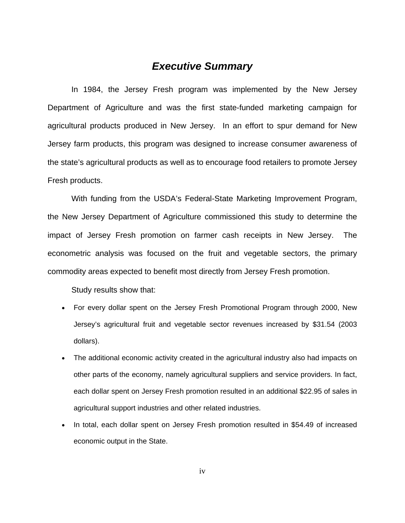## *Executive Summary*

In 1984, the Jersey Fresh program was implemented by the New Jersey Department of Agriculture and was the first state-funded marketing campaign for agricultural products produced in New Jersey. In an effort to spur demand for New Jersey farm products, this program was designed to increase consumer awareness of the state's agricultural products as well as to encourage food retailers to promote Jersey Fresh products.

 With funding from the USDA's Federal-State Marketing Improvement Program, the New Jersey Department of Agriculture commissioned this study to determine the impact of Jersey Fresh promotion on farmer cash receipts in New Jersey. The econometric analysis was focused on the fruit and vegetable sectors, the primary commodity areas expected to benefit most directly from Jersey Fresh promotion.

Study results show that:

- For every dollar spent on the Jersey Fresh Promotional Program through 2000, New Jersey's agricultural fruit and vegetable sector revenues increased by \$31.54 (2003 dollars).
- The additional economic activity created in the agricultural industry also had impacts on other parts of the economy, namely agricultural suppliers and service providers. In fact, each dollar spent on Jersey Fresh promotion resulted in an additional \$22.95 of sales in agricultural support industries and other related industries.
- In total, each dollar spent on Jersey Fresh promotion resulted in \$54.49 of increased economic output in the State.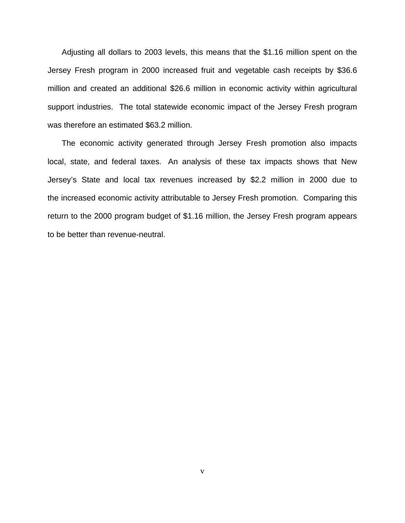Adjusting all dollars to 2003 levels, this means that the \$1.16 million spent on the Jersey Fresh program in 2000 increased fruit and vegetable cash receipts by \$36.6 million and created an additional \$26.6 million in economic activity within agricultural support industries. The total statewide economic impact of the Jersey Fresh program was therefore an estimated \$63.2 million.

The economic activity generated through Jersey Fresh promotion also impacts local, state, and federal taxes. An analysis of these tax impacts shows that New Jersey's State and local tax revenues increased by \$2.2 million in 2000 due to the increased economic activity attributable to Jersey Fresh promotion. Comparing this return to the 2000 program budget of \$1.16 million, the Jersey Fresh program appears to be better than revenue-neutral.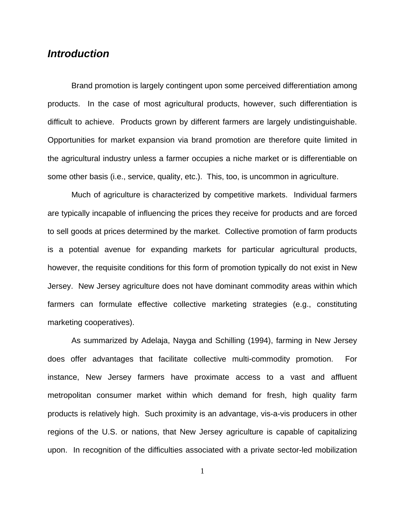## *Introduction*

 Brand promotion is largely contingent upon some perceived differentiation among products. In the case of most agricultural products, however, such differentiation is difficult to achieve. Products grown by different farmers are largely undistinguishable. Opportunities for market expansion via brand promotion are therefore quite limited in the agricultural industry unless a farmer occupies a niche market or is differentiable on some other basis (i.e., service, quality, etc.). This, too, is uncommon in agriculture.

 Much of agriculture is characterized by competitive markets. Individual farmers are typically incapable of influencing the prices they receive for products and are forced to sell goods at prices determined by the market. Collective promotion of farm products is a potential avenue for expanding markets for particular agricultural products, however, the requisite conditions for this form of promotion typically do not exist in New Jersey. New Jersey agriculture does not have dominant commodity areas within which farmers can formulate effective collective marketing strategies (e.g., constituting marketing cooperatives).

 As summarized by Adelaja, Nayga and Schilling (1994), farming in New Jersey does offer advantages that facilitate collective multi-commodity promotion. For instance, New Jersey farmers have proximate access to a vast and affluent metropolitan consumer market within which demand for fresh, high quality farm products is relatively high. Such proximity is an advantage, vis-a-vis producers in other regions of the U.S. or nations, that New Jersey agriculture is capable of capitalizing upon. In recognition of the difficulties associated with a private sector-led mobilization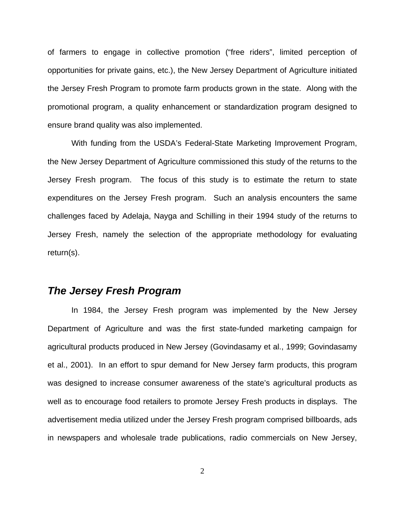of farmers to engage in collective promotion ("free riders", limited perception of opportunities for private gains, etc.), the New Jersey Department of Agriculture initiated the Jersey Fresh Program to promote farm products grown in the state. Along with the promotional program, a quality enhancement or standardization program designed to ensure brand quality was also implemented.

 With funding from the USDA's Federal-State Marketing Improvement Program, the New Jersey Department of Agriculture commissioned this study of the returns to the Jersey Fresh program. The focus of this study is to estimate the return to state expenditures on the Jersey Fresh program. Such an analysis encounters the same challenges faced by Adelaja, Nayga and Schilling in their 1994 study of the returns to Jersey Fresh, namely the selection of the appropriate methodology for evaluating return(s).

## *The Jersey Fresh Program*

 In 1984, the Jersey Fresh program was implemented by the New Jersey Department of Agriculture and was the first state-funded marketing campaign for agricultural products produced in New Jersey (Govindasamy et al., 1999; Govindasamy et al., 2001). In an effort to spur demand for New Jersey farm products, this program was designed to increase consumer awareness of the state's agricultural products as well as to encourage food retailers to promote Jersey Fresh products in displays. The advertisement media utilized under the Jersey Fresh program comprised billboards, ads in newspapers and wholesale trade publications, radio commercials on New Jersey,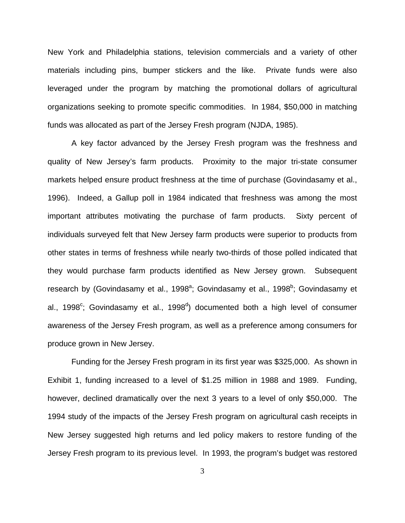New York and Philadelphia stations, television commercials and a variety of other materials including pins, bumper stickers and the like. Private funds were also leveraged under the program by matching the promotional dollars of agricultural organizations seeking to promote specific commodities. In 1984, \$50,000 in matching funds was allocated as part of the Jersey Fresh program (NJDA, 1985).

 A key factor advanced by the Jersey Fresh program was the freshness and quality of New Jersey's farm products. Proximity to the major tri-state consumer markets helped ensure product freshness at the time of purchase (Govindasamy et al., 1996). Indeed, a Gallup poll in 1984 indicated that freshness was among the most important attributes motivating the purchase of farm products. Sixty percent of individuals surveyed felt that New Jersey farm products were superior to products from other states in terms of freshness while nearly two-thirds of those polled indicated that they would purchase farm products identified as New Jersey grown. Subsequent research by (Govindasamy et al., 1998<sup>a</sup>; Govindasamy et al., 1998<sup>b</sup>; Govindasamy et al., 1998<sup>c</sup>; Govindasamy et al., 1998<sup>d</sup>) documented both a high level of consumer awareness of the Jersey Fresh program, as well as a preference among consumers for produce grown in New Jersey.

 Funding for the Jersey Fresh program in its first year was \$325,000. As shown in Exhibit 1, funding increased to a level of \$1.25 million in 1988 and 1989. Funding, however, declined dramatically over the next 3 years to a level of only \$50,000. The 1994 study of the impacts of the Jersey Fresh program on agricultural cash receipts in New Jersey suggested high returns and led policy makers to restore funding of the Jersey Fresh program to its previous level. In 1993, the program's budget was restored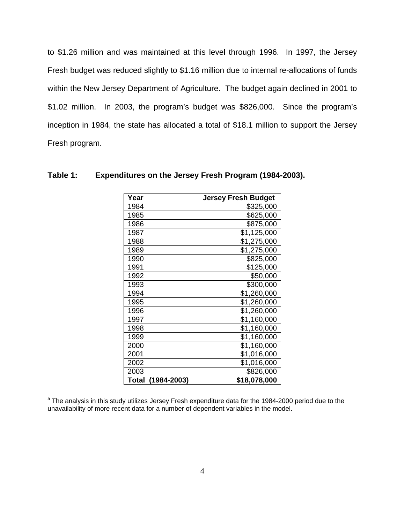to \$1.26 million and was maintained at this level through 1996. In 1997, the Jersey Fresh budget was reduced slightly to \$1.16 million due to internal re-allocations of funds within the New Jersey Department of Agriculture. The budget again declined in 2001 to \$1.02 million. In 2003, the program's budget was \$826,000. Since the program's inception in 1984, the state has allocated a total of \$18.1 million to support the Jersey Fresh program.

| Year                 | <b>Jersey Fresh Budget</b> |
|----------------------|----------------------------|
| 1984                 | \$325,000                  |
| 1985                 | \$625,000                  |
| 1986                 | \$875,000                  |
| 1987                 | \$1,125,000                |
| 1988                 | \$1,275,000                |
| 1989                 | \$1,275,000                |
| 1990                 | \$825,000                  |
| 1991                 | \$125,000                  |
| 1992                 | \$50,000                   |
| 1993                 | \$300,000                  |
| 1994                 | \$1,260,000                |
| 1995                 | \$1,260,000                |
| 1996                 | \$1,260,000                |
| 1997                 | \$1,160,000                |
| 1998                 | \$1,160,000                |
| 1999                 | \$1,160,000                |
| 2000                 | \$1,160,000                |
| 2001                 | \$1,016,000                |
| 2002                 | \$1,016,000                |
| 2003                 | \$826,000                  |
| Total<br>(1984-2003) | \$18,078,000               |

#### **Table 1: Expenditures on the Jersey Fresh Program (1984-2003).**

<sup>a</sup> The analysis in this study utilizes Jersey Fresh expenditure data for the 1984-2000 period due to the unavailability of more recent data for a number of dependent variables in the model.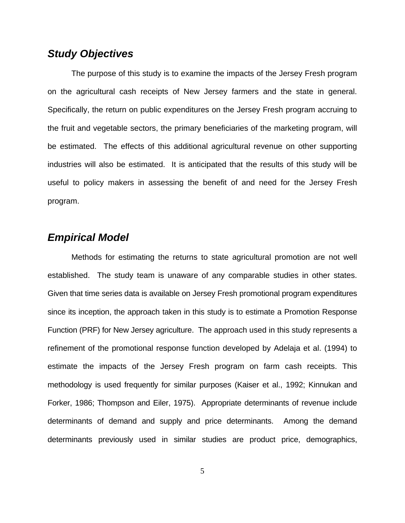## *Study Objectives*

 The purpose of this study is to examine the impacts of the Jersey Fresh program on the agricultural cash receipts of New Jersey farmers and the state in general. Specifically, the return on public expenditures on the Jersey Fresh program accruing to the fruit and vegetable sectors, the primary beneficiaries of the marketing program, will be estimated. The effects of this additional agricultural revenue on other supporting industries will also be estimated. It is anticipated that the results of this study will be useful to policy makers in assessing the benefit of and need for the Jersey Fresh program.

## *Empirical Model*

 Methods for estimating the returns to state agricultural promotion are not well established. The study team is unaware of any comparable studies in other states. Given that time series data is available on Jersey Fresh promotional program expenditures since its inception, the approach taken in this study is to estimate a Promotion Response Function (PRF) for New Jersey agriculture. The approach used in this study represents a refinement of the promotional response function developed by Adelaja et al. (1994) to estimate the impacts of the Jersey Fresh program on farm cash receipts. This methodology is used frequently for similar purposes (Kaiser et al., 1992; Kinnukan and Forker, 1986; Thompson and Eiler, 1975). Appropriate determinants of revenue include determinants of demand and supply and price determinants. Among the demand determinants previously used in similar studies are product price, demographics,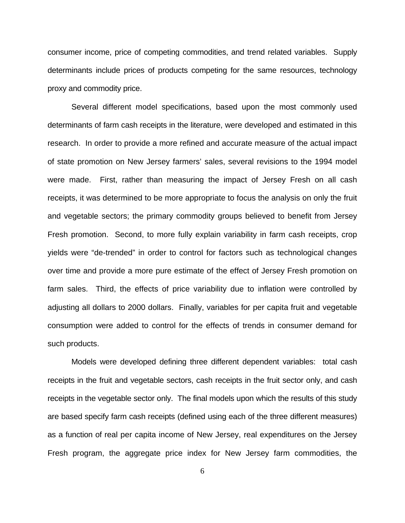consumer income, price of competing commodities, and trend related variables. Supply determinants include prices of products competing for the same resources, technology proxy and commodity price.

 Several different model specifications, based upon the most commonly used determinants of farm cash receipts in the literature, were developed and estimated in this research. In order to provide a more refined and accurate measure of the actual impact of state promotion on New Jersey farmers' sales, several revisions to the 1994 model were made. First, rather than measuring the impact of Jersey Fresh on all cash receipts, it was determined to be more appropriate to focus the analysis on only the fruit and vegetable sectors; the primary commodity groups believed to benefit from Jersey Fresh promotion. Second, to more fully explain variability in farm cash receipts, crop yields were "de-trended" in order to control for factors such as technological changes over time and provide a more pure estimate of the effect of Jersey Fresh promotion on farm sales. Third, the effects of price variability due to inflation were controlled by adjusting all dollars to 2000 dollars. Finally, variables for per capita fruit and vegetable consumption were added to control for the effects of trends in consumer demand for such products.

Models were developed defining three different dependent variables: total cash receipts in the fruit and vegetable sectors, cash receipts in the fruit sector only, and cash receipts in the vegetable sector only. The final models upon which the results of this study are based specify farm cash receipts (defined using each of the three different measures) as a function of real per capita income of New Jersey, real expenditures on the Jersey Fresh program, the aggregate price index for New Jersey farm commodities, the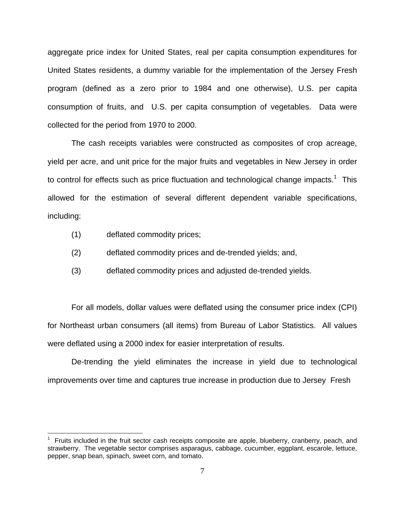aggregate price index for United States, real per capita consumption expenditures for United States residents, a dummy variable for the implementation of the Jersey Fresh program (defined as a zero prior to 1984 and one otherwise), U.S. per capita consumption of fruits, and U.S. per capita consumption of vegetables. Data were collected for the period from 1970 to 2000.

The cash receipts variables were constructed as composites of crop acreage, yield per acre, and unit price for the major fruits and vegetables in New Jersey in order to control for effects such as price fluctuation and technological change impacts.<sup>1</sup> This allowed for the estimation of several different dependent variable specifications, including:

(1) deflated commodity prices;

1

- (2) deflated commodity prices and de-trended yields; and,
- (3) deflated commodity prices and adjusted de-trended yields.

For all models, dollar values were deflated using the consumer price index (CPI) for Northeast urban consumers (all items) from Bureau of Labor Statistics. All values were deflated using a 2000 index for easier interpretation of results.

De-trending the yield eliminates the increase in yield due to technological improvements over time and captures true increase in production due to Jersey Fresh

<sup>1</sup> Fruits included in the fruit sector cash receipts composite are apple, blueberry, cranberry, peach, and strawberry. The vegetable sector comprises asparagus, cabbage, cucumber, eggplant, escarole, lettuce, pepper, snap bean, spinach, sweet corn, and tomato.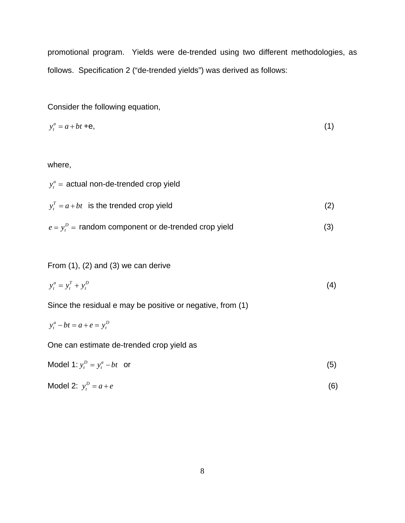promotional program. Yields were de-trended using two different methodologies, as follows. Specification 2 ("de-trended yields") was derived as follows:

Consider the following equation,

$$
y_t^a = a + bt + \mathbf{e},\tag{1}
$$

where,

| $y_t^a$ = actual non-de-trended crop yield              |     |
|---------------------------------------------------------|-----|
| $y_t^T = a + bt$ is the trended crop yield              | (2) |
| $e = y_t^D$ = random component or de-trended crop yield | (3) |

From (1), (2) and (3) we can derive

$$
y_t^a = y_t^T + y_t^D \tag{4}
$$

Since the residual e may be positive or negative, from (1)

$$
y_t^a - bt = a + e = y_t^b
$$

One can estimate de-trended crop yield as

| Model 1: $y_t^D = y_t^a - bt$ or |  |
|----------------------------------|--|
|----------------------------------|--|

$$
Model 2: y_t^D = a + e \tag{6}
$$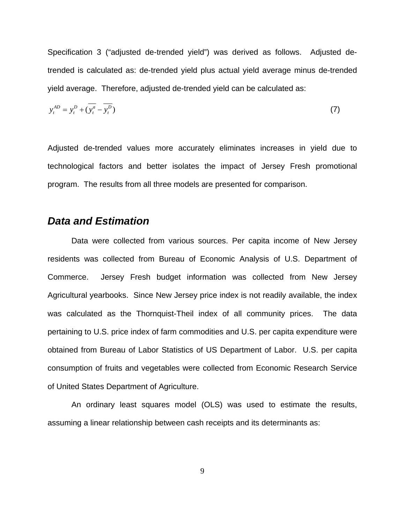Specification 3 ("adjusted de-trended yield") was derived as follows. Adjusted detrended is calculated as: de-trended yield plus actual yield average minus de-trended yield average. Therefore, adjusted de-trended yield can be calculated as:

$$
y_t^{AD} = y_t^D + (\overline{y_t^a} - \overline{y_t^D})
$$
\n<sup>(7)</sup>

Adjusted de-trended values more accurately eliminates increases in yield due to technological factors and better isolates the impact of Jersey Fresh promotional program. The results from all three models are presented for comparison.

### *Data and Estimation*

Data were collected from various sources. Per capita income of New Jersey residents was collected from Bureau of Economic Analysis of U.S. Department of Commerce. Jersey Fresh budget information was collected from New Jersey Agricultural yearbooks. Since New Jersey price index is not readily available, the index was calculated as the Thornquist-Theil index of all community prices. The data pertaining to U.S. price index of farm commodities and U.S. per capita expenditure were obtained from Bureau of Labor Statistics of US Department of Labor. U.S. per capita consumption of fruits and vegetables were collected from Economic Research Service of United States Department of Agriculture.

An ordinary least squares model (OLS) was used to estimate the results, assuming a linear relationship between cash receipts and its determinants as: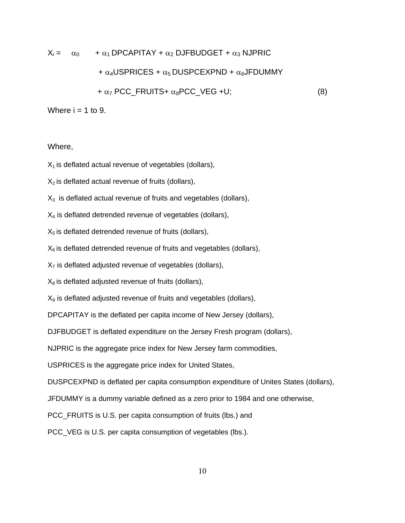$$
X_i = \alpha_0 + \alpha_1 \text{DPCAPITAY} + \alpha_2 \text{DJFBUDGET} + \alpha_3 \text{NJPRIC}
$$

#### +  $\alpha_4$ USPRICES +  $\alpha_5$  DUSPCEXPND +  $\alpha_6$ JFDUMMY

 $+\alpha_7$  PCC\_FRUITS+  $\alpha_8$ PCC\_VEG +U; (8)

Where  $i = 1$  to 9.

Where,

 $X_1$  is deflated actual revenue of vegetables (dollars),

 $X<sub>2</sub>$  is deflated actual revenue of fruits (dollars),

 $X<sub>3</sub>$  is deflated actual revenue of fruits and vegetables (dollars),

 $X_4$  is deflated detrended revenue of vegetables (dollars),

 $X<sub>5</sub>$  is deflated detrended revenue of fruits (dollars),

 $X_6$  is deflated detrended revenue of fruits and vegetables (dollars),

 $X<sub>7</sub>$  is deflated adjusted revenue of vegetables (dollars),

 $X_8$  is deflated adjusted revenue of fruits (dollars),

 $X<sub>9</sub>$  is deflated adjusted revenue of fruits and vegetables (dollars),

DPCAPITAY is the deflated per capita income of New Jersey (dollars),

DJFBUDGET is deflated expenditure on the Jersey Fresh program (dollars),

NJPRIC is the aggregate price index for New Jersey farm commodities,

USPRICES is the aggregate price index for United States,

DUSPCEXPND is deflated per capita consumption expenditure of Unites States (dollars),

JFDUMMY is a dummy variable defined as a zero prior to 1984 and one otherwise,

PCC\_FRUITS is U.S. per capita consumption of fruits (lbs.) and

PCC\_VEG is U.S. per capita consumption of vegetables (lbs.).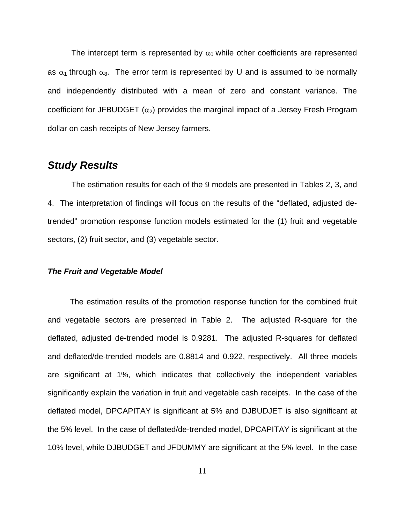The intercept term is represented by  $\alpha_0$  while other coefficients are represented as  $\alpha_1$  through  $\alpha_8$ . The error term is represented by U and is assumed to be normally and independently distributed with a mean of zero and constant variance. The coefficient for JFBUDGET  $(\alpha_2)$  provides the marginal impact of a Jersey Fresh Program dollar on cash receipts of New Jersey farmers.

## *Study Results*

 The estimation results for each of the 9 models are presented in Tables 2, 3, and 4. The interpretation of findings will focus on the results of the "deflated, adjusted detrended" promotion response function models estimated for the (1) fruit and vegetable sectors, (2) fruit sector, and (3) vegetable sector.

#### *The Fruit and Vegetable Model*

 The estimation results of the promotion response function for the combined fruit and vegetable sectors are presented in Table 2. The adjusted R-square for the deflated, adjusted de-trended model is 0.9281. The adjusted R-squares for deflated and deflated/de-trended models are 0.8814 and 0.922, respectively. All three models are significant at 1%, which indicates that collectively the independent variables significantly explain the variation in fruit and vegetable cash receipts. In the case of the deflated model, DPCAPITAY is significant at 5% and DJBUDJET is also significant at the 5% level. In the case of deflated/de-trended model, DPCAPITAY is significant at the 10% level, while DJBUDGET and JFDUMMY are significant at the 5% level. In the case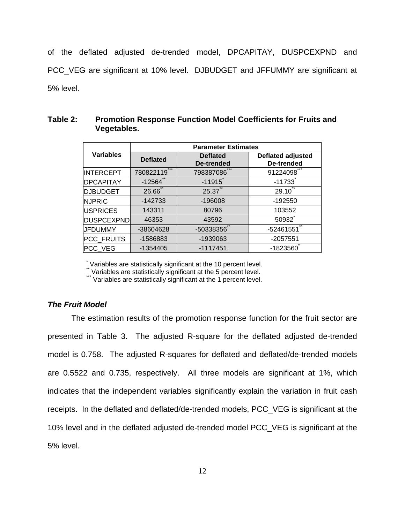of the deflated adjusted de-trended model, DPCAPITAY, DUSPCEXPND and PCC\_VEG are significant at 10% level. DJBUDGET and JFFUMMY are significant at 5% level.

|                   | <b>Parameter Estimates</b> |                               |                                        |  |
|-------------------|----------------------------|-------------------------------|----------------------------------------|--|
| <b>Variables</b>  | <b>Deflated</b>            | <b>Deflated</b><br>De-trended | <b>Deflated adjusted</b><br>De-trended |  |
| <b>INTERCEPT</b>  | ***<br>780822119           | 798387086                     | 91224098                               |  |
| <b>DPCAPITAY</b>  | $-12564$                   | $-11915$                      | $-11733$                               |  |
| <b>DJBUDGET</b>   | 26.66                      | 25.37**                       | 29.10                                  |  |
| <b>NJPRIC</b>     | $-142733$                  | $-196008$                     | $-192550$                              |  |
| <b>USPRICES</b>   | 143311                     | 80796                         | 103552                                 |  |
| <b>DUSPCEXPND</b> | 46353                      | 43592                         | 50932                                  |  |
| <b>JFDUMMY</b>    | -38604628                  | $-50338356$                   | -52461551                              |  |
| <b>PCC FRUITS</b> | -1586883                   | -1939063                      | $-2057551$                             |  |
| PCC VEG           | -1354405                   | $-1117451$                    | $-1823560$                             |  |

#### **Table 2: Promotion Response Function Model Coefficients for Fruits and Vegetables.**

\* Variables are statistically significant at the 10 percent level.

\*\* Variables are statistically significant at the 5 percent level.

\*\*\* Variables are statistically significant at the 1 percent level.

#### *The Fruit Model*

The estimation results of the promotion response function for the fruit sector are presented in Table 3. The adjusted R-square for the deflated adjusted de-trended model is 0.758. The adjusted R-squares for deflated and deflated/de-trended models are 0.5522 and 0.735, respectively. All three models are significant at 1%, which indicates that the independent variables significantly explain the variation in fruit cash receipts. In the deflated and deflated/de-trended models, PCC\_VEG is significant at the 10% level and in the deflated adjusted de-trended model PCC\_VEG is significant at the 5% level.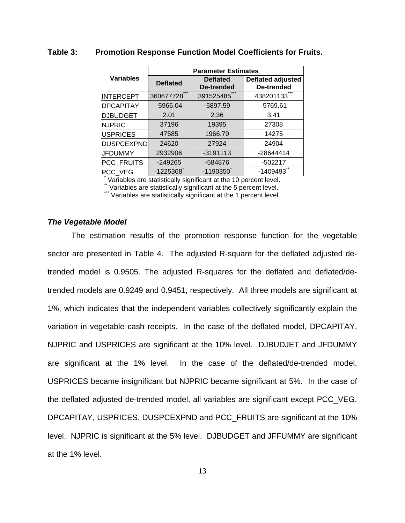|                   | <b>Parameter Estimates</b> |                               |                                        |  |  |
|-------------------|----------------------------|-------------------------------|----------------------------------------|--|--|
| <b>Variables</b>  | <b>Deflated</b>            | <b>Deflated</b><br>De-trended | <b>Deflated adjusted</b><br>De-trended |  |  |
| <b>INTERCEPT</b>  | 360677728                  | 391525485                     | 438201133                              |  |  |
| <b>DPCAPITAY</b>  | $-5966.04$                 | $-5897.59$                    | $-5769.61$                             |  |  |
| <b>DJBUDGET</b>   | 2.01                       | 2.36                          | 3.41                                   |  |  |
| <b>NJPRIC</b>     | 37196                      | 19395                         | 27308                                  |  |  |
| <b>USPRICES</b>   | 47585                      | 1966.79                       | 14275                                  |  |  |
| <b>DUSPCEXPND</b> | 24620                      | 27924                         | 24904                                  |  |  |
| <b>JFDUMMY</b>    | 2932906                    | $-3191113$                    | -28644414                              |  |  |
| PCC_FRUITS        | $-249265$                  | -584876                       | $-502217$                              |  |  |
| PCC_VEG           | $-1225368$                 | $-1190350$                    | $-1409493$                             |  |  |

#### **Table 3: Promotion Response Function Model Coefficients for Fruits.**

\* Variables are statistically significant at the 10 percent level.

\* Variables are statistically significant at the 5 percent level.

\*\*\* Variables are statistically significant at the 1 percent level.

#### *The Vegetable Model*

The estimation results of the promotion response function for the vegetable sector are presented in Table 4. The adjusted R-square for the deflated adjusted detrended model is 0.9505. The adjusted R-squares for the deflated and deflated/detrended models are 0.9249 and 0.9451, respectively. All three models are significant at 1%, which indicates that the independent variables collectively significantly explain the variation in vegetable cash receipts. In the case of the deflated model, DPCAPITAY, NJPRIC and USPRICES are significant at the 10% level. DJBUDJET and JFDUMMY are significant at the 1% level. In the case of the deflated/de-trended model, USPRICES became insignificant but NJPRIC became significant at 5%. In the case of the deflated adjusted de-trended model, all variables are significant except PCC\_VEG. DPCAPITAY, USPRICES, DUSPCEXPND and PCC\_FRUITS are significant at the 10% level. NJPRIC is significant at the 5% level. DJBUDGET and JFFUMMY are significant at the 1% level.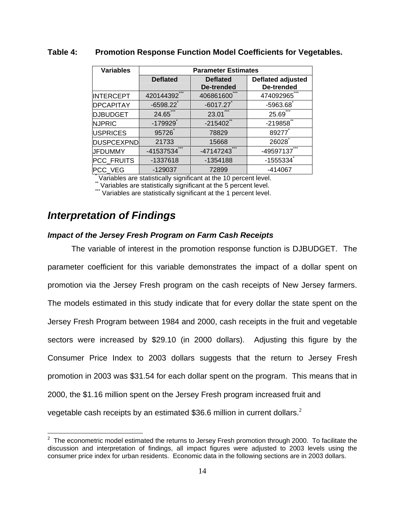| <b>Variables</b>                                                 | <b>Parameter Estimates</b> |                                      |                                 |  |  |
|------------------------------------------------------------------|----------------------------|--------------------------------------|---------------------------------|--|--|
|                                                                  | <b>Deflated</b>            | <b>Deflated</b><br><b>De-trended</b> | Deflated adjusted<br>De-trended |  |  |
|                                                                  | 420144392                  | 406861600                            | 474092965                       |  |  |
| <b>INTERCEPT</b>                                                 |                            |                                      |                                 |  |  |
| <b>DPCAPITAY</b>                                                 | $-6598.22$                 | $-6017.27$                           | $-5963.68$                      |  |  |
| <b>DJBUDGET</b>                                                  | 24.65                      | 23.01                                | 25.69                           |  |  |
| <b>NJPRIC</b>                                                    | $-179929$                  | $-215402$                            | $-219858$                       |  |  |
| <b>USPRICES</b>                                                  | 95726                      | 78829                                | 89277                           |  |  |
| <b>DUSPCEXPND</b>                                                | 21733                      | 15668                                | 26028                           |  |  |
| <b>JFDUMMY</b>                                                   | $-41537534$                | $-47147243$                          | -49597137                       |  |  |
| PCC_FRUITS                                                       | -1337618                   | -1354188                             | $-1555334$                      |  |  |
| PCC_VEG                                                          | $-129037$                  | 72899                                | $-414067$                       |  |  |
| Variables are statistically significant at the 10 percent level. |                            |                                      |                                 |  |  |

#### **Table 4: Promotion Response Function Model Coefficients for Vegetables.**

\*\* Variables are statistically significant at the 5 percent level.

 $*$  Variables are statistically significant at the 1 percent level.

## *Interpretation of Findings*

#### *Impact of the Jersey Fresh Program on Farm Cash Receipts*

 The variable of interest in the promotion response function is DJBUDGET. The parameter coefficient for this variable demonstrates the impact of a dollar spent on promotion via the Jersey Fresh program on the cash receipts of New Jersey farmers. The models estimated in this study indicate that for every dollar the state spent on the Jersey Fresh Program between 1984 and 2000, cash receipts in the fruit and vegetable sectors were increased by \$29.10 (in 2000 dollars). Adjusting this figure by the Consumer Price Index to 2003 dollars suggests that the return to Jersey Fresh promotion in 2003 was \$31.54 for each dollar spent on the program. This means that in 2000, the \$1.16 million spent on the Jersey Fresh program increased fruit and vegetable cash receipts by an estimated \$36.6 million in current dollars. $^2$ 

<sup>————————————————————&</sup>lt;br><sup>2</sup> The econometric model estimated the returns to Jersey Fresh promotion through 2000. To facilitate the discussion and interpretation of findings, all impact figures were adjusted to 2003 levels using the consumer price index for urban residents. Economic data in the following sections are in 2003 dollars.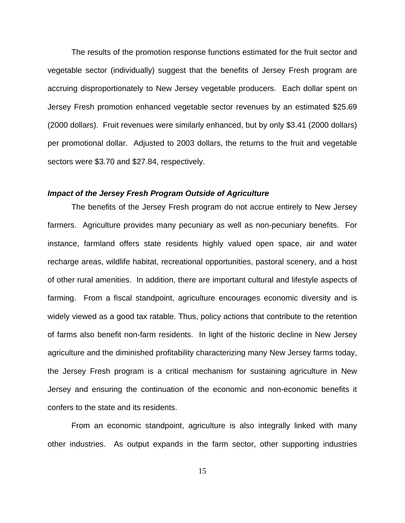The results of the promotion response functions estimated for the fruit sector and vegetable sector (individually) suggest that the benefits of Jersey Fresh program are accruing disproportionately to New Jersey vegetable producers. Each dollar spent on Jersey Fresh promotion enhanced vegetable sector revenues by an estimated \$25.69 (2000 dollars). Fruit revenues were similarly enhanced, but by only \$3.41 (2000 dollars) per promotional dollar. Adjusted to 2003 dollars, the returns to the fruit and vegetable sectors were \$3.70 and \$27.84, respectively.

#### *Impact of the Jersey Fresh Program Outside of Agriculture*

The benefits of the Jersey Fresh program do not accrue entirely to New Jersey farmers. Agriculture provides many pecuniary as well as non-pecuniary benefits. For instance, farmland offers state residents highly valued open space, air and water recharge areas, wildlife habitat, recreational opportunities, pastoral scenery, and a host of other rural amenities. In addition, there are important cultural and lifestyle aspects of farming. From a fiscal standpoint, agriculture encourages economic diversity and is widely viewed as a good tax ratable. Thus, policy actions that contribute to the retention of farms also benefit non-farm residents. In light of the historic decline in New Jersey agriculture and the diminished profitability characterizing many New Jersey farms today, the Jersey Fresh program is a critical mechanism for sustaining agriculture in New Jersey and ensuring the continuation of the economic and non-economic benefits it confers to the state and its residents.

From an economic standpoint, agriculture is also integrally linked with many other industries. As output expands in the farm sector, other supporting industries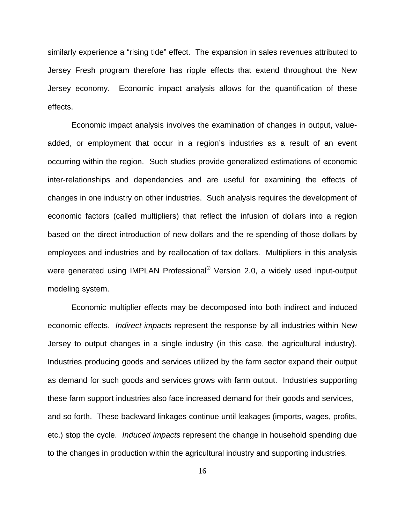similarly experience a "rising tide" effect. The expansion in sales revenues attributed to Jersey Fresh program therefore has ripple effects that extend throughout the New Jersey economy. Economic impact analysis allows for the quantification of these effects.

Economic impact analysis involves the examination of changes in output, valueadded, or employment that occur in a region's industries as a result of an event occurring within the region. Such studies provide generalized estimations of economic inter-relationships and dependencies and are useful for examining the effects of changes in one industry on other industries. Such analysis requires the development of economic factors (called multipliers) that reflect the infusion of dollars into a region based on the direct introduction of new dollars and the re-spending of those dollars by employees and industries and by reallocation of tax dollars. Multipliers in this analysis were generated using IMPLAN Professional<sup>®</sup> Version 2.0, a widely used input-output modeling system.

Economic multiplier effects may be decomposed into both indirect and induced economic effects. *Indirect impacts* represent the response by all industries within New Jersey to output changes in a single industry (in this case, the agricultural industry). Industries producing goods and services utilized by the farm sector expand their output as demand for such goods and services grows with farm output. Industries supporting these farm support industries also face increased demand for their goods and services, and so forth. These backward linkages continue until leakages (imports, wages, profits, etc.) stop the cycle. *Induced impacts* represent the change in household spending due to the changes in production within the agricultural industry and supporting industries.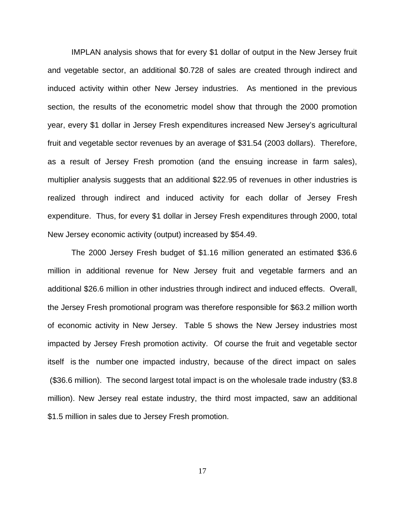IMPLAN analysis shows that for every \$1 dollar of output in the New Jersey fruit and vegetable sector, an additional \$0.728 of sales are created through indirect and induced activity within other New Jersey industries. As mentioned in the previous section, the results of the econometric model show that through the 2000 promotion year, every \$1 dollar in Jersey Fresh expenditures increased New Jersey's agricultural fruit and vegetable sector revenues by an average of \$31.54 (2003 dollars). Therefore, as a result of Jersey Fresh promotion (and the ensuing increase in farm sales), multiplier analysis suggests that an additional \$22.95 of revenues in other industries is realized through indirect and induced activity for each dollar of Jersey Fresh expenditure. Thus, for every \$1 dollar in Jersey Fresh expenditures through 2000, total New Jersey economic activity (output) increased by \$54.49.

The 2000 Jersey Fresh budget of \$1.16 million generated an estimated \$36.6 million in additional revenue for New Jersey fruit and vegetable farmers and an additional \$26.6 million in other industries through indirect and induced effects. Overall, the Jersey Fresh promotional program was therefore responsible for \$63.2 million worth of economic activity in New Jersey. Table 5 shows the New Jersey industries most impacted by Jersey Fresh promotion activity. Of course the fruit and vegetable sector itself is the number one impacted industry, because of the direct impact on sales (\$36.6 million). The second largest total impact is on the wholesale trade industry (\$3.8 million). New Jersey real estate industry, the third most impacted, saw an additional \$1.5 million in sales due to Jersey Fresh promotion.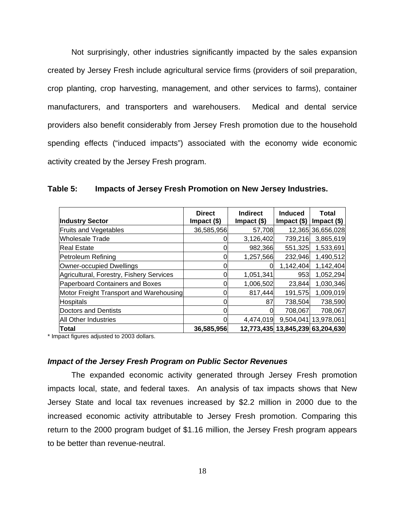Not surprisingly, other industries significantly impacted by the sales expansion created by Jersey Fresh include agricultural service firms (providers of soil preparation, crop planting, crop harvesting, management, and other services to farms), container manufacturers, and transporters and warehousers. Medical and dental service providers also benefit considerably from Jersey Fresh promotion due to the household spending effects ("induced impacts") associated with the economy wide economic activity created by the Jersey Fresh program.

|                                          | <b>Direct</b> | <b>Indirect</b> | <b>Induced</b>                   | <b>Total</b>      |
|------------------------------------------|---------------|-----------------|----------------------------------|-------------------|
| <b>Industry Sector</b>                   | Impact $($)$  | $Import ($ \$)  | Impact $(\$)$                    | Impact $($)$      |
| <b>Fruits and Vegetables</b>             | 36,585,956    | 57,708          |                                  | 12,365 36,656,028 |
| Wholesale Trade                          |               | 3,126,402       | 739,216                          | 3,865,619         |
| <b>Real Estate</b>                       |               | 982,366         | 551,325                          | 1,533,691         |
| Petroleum Refining                       |               | 1,257,566       | 232,946                          | 1,490,512         |
| Owner-occupied Dwellings                 |               |                 | 1,142,404                        | 1,142,404         |
| Agricultural, Forestry, Fishery Services |               | 1,051,341       | 953                              | 1,052,294         |
| Paperboard Containers and Boxes          |               | 1,006,502       | 23,844                           | 1,030,346         |
| Motor Freight Transport and Warehousing  |               | 817,444         | 191,575                          | 1,009,019         |
| <b>Hospitals</b>                         |               | 87              | 738,504                          | 738,590           |
| Doctors and Dentists                     |               |                 | 708,067                          | 708,067           |
| All Other Industries                     |               | 4,474,019       | 9,504,041                        | 13,978,061        |
| Total                                    | 36,585,956    |                 | 12,773,435 13,845,239 63,204,630 |                   |

**Table 5: Impacts of Jersey Fresh Promotion on New Jersey Industries.** 

\* Impact figures adjusted to 2003 dollars.

#### *Impact of the Jersey Fresh Program on Public Sector Revenues*

The expanded economic activity generated through Jersey Fresh promotion impacts local, state, and federal taxes. An analysis of tax impacts shows that New Jersey State and local tax revenues increased by \$2.2 million in 2000 due to the increased economic activity attributable to Jersey Fresh promotion. Comparing this return to the 2000 program budget of \$1.16 million, the Jersey Fresh program appears to be better than revenue-neutral.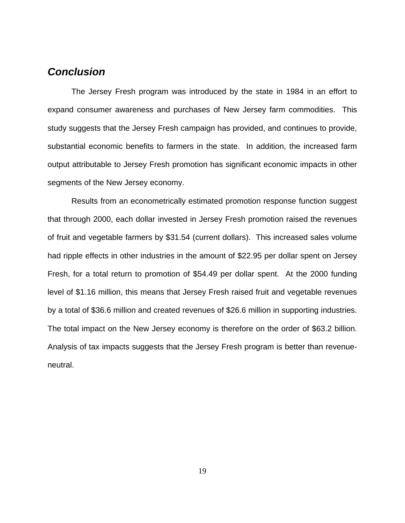## *Conclusion*

 The Jersey Fresh program was introduced by the state in 1984 in an effort to expand consumer awareness and purchases of New Jersey farm commodities. This study suggests that the Jersey Fresh campaign has provided, and continues to provide, substantial economic benefits to farmers in the state. In addition, the increased farm output attributable to Jersey Fresh promotion has significant economic impacts in other segments of the New Jersey economy.

 Results from an econometrically estimated promotion response function suggest that through 2000, each dollar invested in Jersey Fresh promotion raised the revenues of fruit and vegetable farmers by \$31.54 (current dollars). This increased sales volume had ripple effects in other industries in the amount of \$22.95 per dollar spent on Jersey Fresh, for a total return to promotion of \$54.49 per dollar spent. At the 2000 funding level of \$1.16 million, this means that Jersey Fresh raised fruit and vegetable revenues by a total of \$36.6 million and created revenues of \$26.6 million in supporting industries. The total impact on the New Jersey economy is therefore on the order of \$63.2 billion. Analysis of tax impacts suggests that the Jersey Fresh program is better than revenueneutral.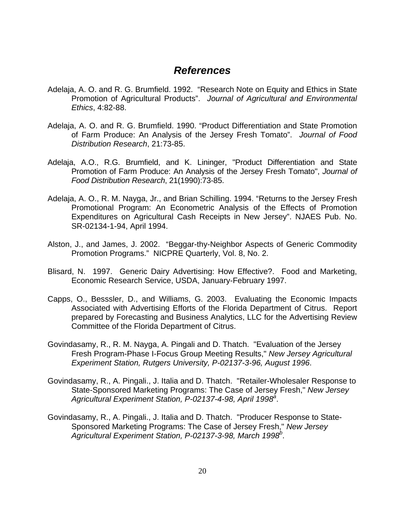## *References*

- Adelaja, A. O. and R. G. Brumfield. 1992. "Research Note on Equity and Ethics in State Promotion of Agricultural Products". *Journal of Agricultural and Environmental Ethics*, 4:82-88.
- Adelaja, A. O. and R. G. Brumfield. 1990. "Product Differentiation and State Promotion of Farm Produce: An Analysis of the Jersey Fresh Tomato". *Journal of Food Distribution Research*, 21:73-85.
- Adelaja, A.O., R.G. Brumfield, and K. Lininger, "Product Differentiation and State Promotion of Farm Produce: An Analysis of the Jersey Fresh Tomato", *Journal of Food Distribution Research*, 21(1990):73-85.
- Adelaja, A. O., R. M. Nayga, Jr., and Brian Schilling. 1994. "Returns to the Jersey Fresh Promotional Program: An Econometric Analysis of the Effects of Promotion Expenditures on Agricultural Cash Receipts in New Jersey". NJAES Pub. No. SR-02134-1-94, April 1994.
- Alston, J., and James, J. 2002. "Beggar-thy-Neighbor Aspects of Generic Commodity Promotion Programs." NICPRE Quarterly, Vol. 8, No. 2.
- Blisard, N. 1997. Generic Dairy Advertising: How Effective?. Food and Marketing, Economic Research Service, USDA, January-February 1997.
- Capps, O., Besssler, D., and Williams, G. 2003. Evaluating the Economic Impacts Associated with Advertising Efforts of the Florida Department of Citrus. Report prepared by Forecasting and Business Analytics, LLC for the Advertising Review Committee of the Florida Department of Citrus.
- Govindasamy, R., R. M. Nayga, A. Pingali and D. Thatch. "Evaluation of the Jersey Fresh Program-Phase I-Focus Group Meeting Results," *New Jersey Agricultural Experiment Station, Rutgers University, P-02137-3-96, August 1996*.
- Govindasamy, R., A. Pingali., J. Italia and D. Thatch. "Retailer-Wholesaler Response to State-Sponsored Marketing Programs: The Case of Jersey Fresh," *New Jersey*  Agricultural Experiment Station, P-02137-4-98, April 1998<sup>a</sup>.
- Govindasamy, R., A. Pingali., J. Italia and D. Thatch. "Producer Response to State-Sponsored Marketing Programs: The Case of Jersey Fresh," *New Jersey*  Agricultural Experiment Station, P-02137-3-98, March 1998<sup>b</sup>.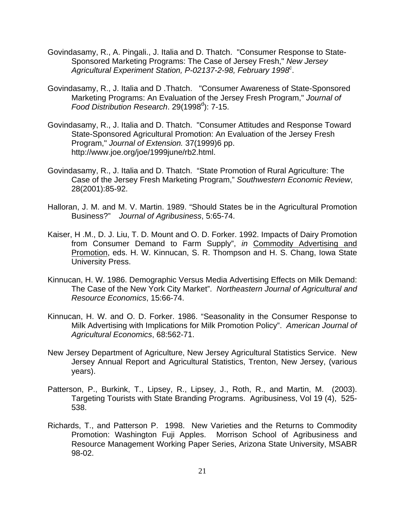- Govindasamy, R., A. Pingali., J. Italia and D. Thatch. "Consumer Response to State-Sponsored Marketing Programs: The Case of Jersey Fresh," *New Jersey*  Agricultural Experiment Station, P-02137-2-98, February 1998<sup>c</sup>.
- Govindasamy, R., J. Italia and D .Thatch. "Consumer Awareness of State-Sponsored Marketing Programs: An Evaluation of the Jersey Fresh Program," *Journal of*  Food Distribution Research. 29(1998<sup>d</sup>): 7-15.
- Govindasamy, R., J. Italia and D. Thatch. "Consumer Attitudes and Response Toward State-Sponsored Agricultural Promotion: An Evaluation of the Jersey Fresh Program," *Journal of Extension.* 37(1999)6 pp. http://www.joe.org/joe/1999june/rb2.html.
- Govindasamy, R., J. Italia and D. Thatch. "State Promotion of Rural Agriculture: The Case of the Jersey Fresh Marketing Program," *Southwestern Economic Review*, 28(2001):85-92.
- Halloran, J. M. and M. V. Martin. 1989. "Should States be in the Agricultural Promotion Business?" *Journal of Agribusiness*, 5:65-74.
- Kaiser, H .M., D. J. Liu, T. D. Mount and O. D. Forker. 1992. Impacts of Dairy Promotion from Consumer Demand to Farm Supply", *in* Commodity Advertising and Promotion, eds. H. W. Kinnucan, S. R. Thompson and H. S. Chang, Iowa State University Press.
- Kinnucan, H. W. 1986. Demographic Versus Media Advertising Effects on Milk Demand: The Case of the New York City Market". *Northeastern Journal of Agricultural and Resource Economics*, 15:66-74.
- Kinnucan, H. W. and O. D. Forker. 1986. "Seasonality in the Consumer Response to Milk Advertising with Implications for Milk Promotion Policy". *American Journal of Agricultural Economics*, 68:562-71.
- New Jersey Department of Agriculture, New Jersey Agricultural Statistics Service. New Jersey Annual Report and Agricultural Statistics, Trenton, New Jersey, (various years).
- Patterson, P., Burkink, T., Lipsey, R., Lipsey, J., Roth, R., and Martin, M. (2003). Targeting Tourists with State Branding Programs. Agribusiness, Vol 19 (4), 525- 538.
- Richards, T., and Patterson P. 1998. New Varieties and the Returns to Commodity Promotion: Washington Fuji Apples. Morrison School of Agribusiness and Resource Management Working Paper Series, Arizona State University, MSABR 98-02.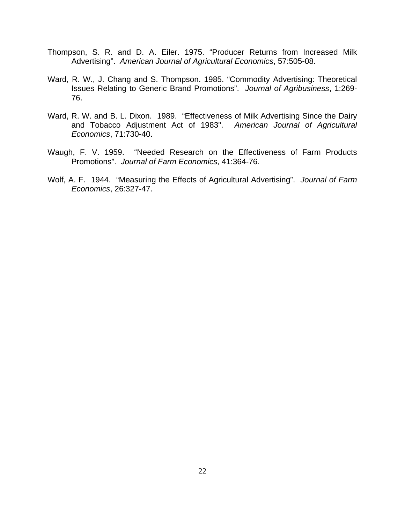- Thompson, S. R. and D. A. Eiler. 1975. "Producer Returns from Increased Milk Advertising". *American Journal of Agricultural Economics*, 57:505-08.
- Ward, R. W., J. Chang and S. Thompson. 1985. "Commodity Advertising: Theoretical Issues Relating to Generic Brand Promotions". *Journal of Agribusiness*, 1:269- 76.
- Ward, R. W. and B. L. Dixon. 1989. "Effectiveness of Milk Advertising Since the Dairy and Tobacco Adjustment Act of 1983". *American Journal of Agricultural Economics*, 71:730-40.
- Waugh, F. V. 1959. "Needed Research on the Effectiveness of Farm Products Promotions". *Journal of Farm Economics*, 41:364-76.
- Wolf, A. F. 1944. "Measuring the Effects of Agricultural Advertising". *Journal of Farm Economics*, 26:327-47.